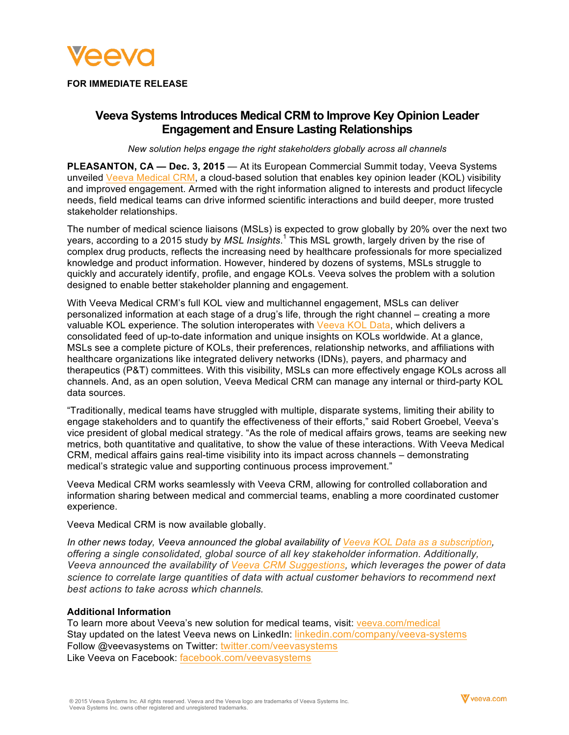

**FOR IMMEDIATE RELEASE**

# **Veeva Systems Introduces Medical CRM to Improve Key Opinion Leader Engagement and Ensure Lasting Relationships**

*New solution helps engage the right stakeholders globally across all channels*

**PLEASANTON, CA — Dec. 3, 2015** — At its European Commercial Summit today, Veeva Systems unveiled [Veeva Medical CRM](https://www.veeva.com/products/medical-crm/), a cloud-based solution that enables key opinion leader (KOL) visibility and improved engagement. Armed with the right information aligned to interests and product lifecycle needs, field medical teams can drive informed scientific interactions and build deeper, more trusted stakeholder relationships.

The number of medical science liaisons (MSLs) is expected to grow globally by 20% over the next two years, according to a 2015 study by *MSL Insights*. <sup>1</sup> This MSL growth, largely driven by the rise of complex drug products, reflects the increasing need by healthcare professionals for more specialized knowledge and product information. However, hindered by dozens of systems, MSLs struggle to quickly and accurately identify, profile, and engage KOLs. Veeva solves the problem with a solution designed to enable better stakeholder planning and engagement.

With Veeva Medical CRM's full KOL view and multichannel engagement, MSLs can deliver personalized information at each stage of a drug's life, through the right channel – creating a more valuable KOL experience. The solution interoperates with [Veeva KOL Data](https://www.veeva.com/eu/products/kol-data-services/), which delivers a consolidated feed of up-to-date information and unique insights on KOLs worldwide. At a glance, MSLs see a complete picture of KOLs, their preferences, relationship networks, and affiliations with healthcare organizations like integrated delivery networks (IDNs), payers, and pharmacy and therapeutics (P&T) committees. With this visibility, MSLs can more effectively engage KOLs across all channels. And, as an open solution, Veeva Medical CRM can manage any internal or third-party KOL data sources.

"Traditionally, medical teams have struggled with multiple, disparate systems, limiting their ability to engage stakeholders and to quantify the effectiveness of their efforts," said Robert Groebel, Veeva's vice president of global medical strategy. "As the role of medical affairs grows, teams are seeking new metrics, both quantitative and qualitative, to show the value of these interactions. With Veeva Medical CRM, medical affairs gains real-time visibility into its impact across channels – demonstrating medical's strategic value and supporting continuous process improvement."

Veeva Medical CRM works seamlessly with Veeva CRM, allowing for controlled collaboration and information sharing between medical and commercial teams, enabling a more coordinated customer experience.

Veeva Medical CRM is now available globally.

*In other news today, Veeva announced the global availability of [Veeva KOL Data as a subscription](https://www.veeva.com/resources/single-global-source-of-enterprise-kol-data-now-available), offering a single consolidated, global source of all key stakeholder information. Additionally, Veeva announced the availability of [Veeva CRM Suggestions](https://www.veeva.com/resources/new-veeva-crm-suggestions-now-available-powers-sales-teams-with-data-driven-recommendations-on-next-best-action-and-channel), which leverages the power of data science to correlate large quantities of data with actual customer behaviors to recommend next best actions to take across which channels.*

## **Additional Information**

To learn more about Veeva's new solution for medical teams, visit: [veeva.com/medical](https://www.veeva.com/products/medical-crm/) Stay updated on the latest Veeva news on LinkedIn: [linkedin.com/company/veeva-systems](http://www.linkedin.com/company/veeva-systems) Follow @veevasystems on Twitter: [twitter.com/veevasystems](https://twitter.com/veevasystems) Like Veeva on Facebook: [facebook.com/veevasystems](https://www.facebook.com/VeevaSystems)